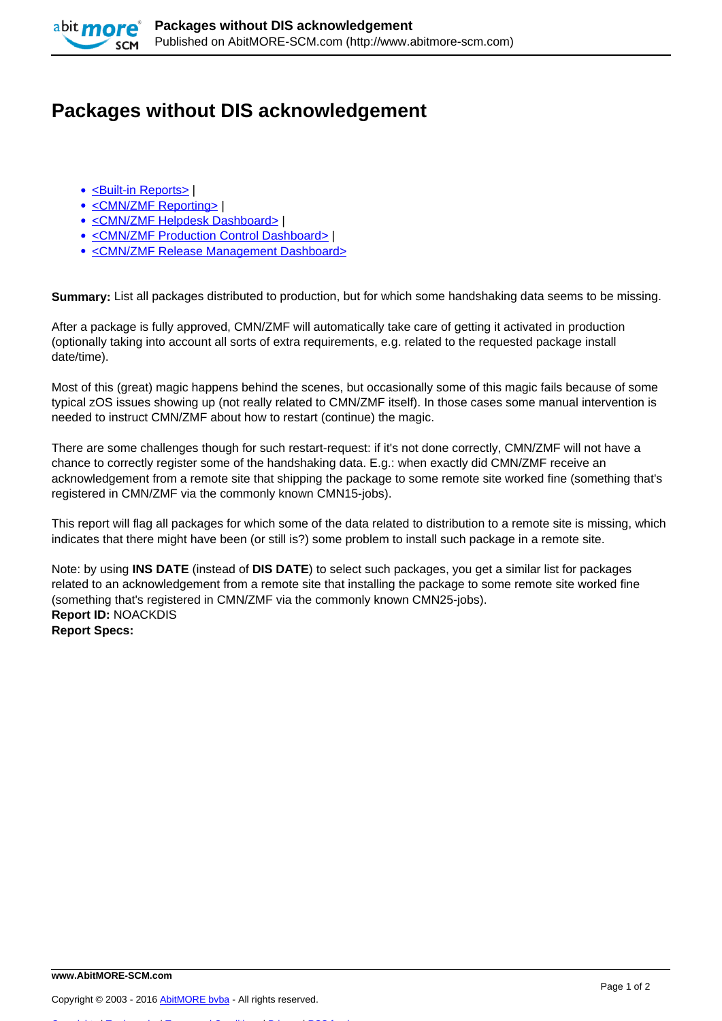

## **Packages without DIS acknowledgement**

- [<Built-in Reports>](http://www.abitmore-scm.com/taxonomy/term/69) |
- [<CMN/ZMF Reporting>](http://www.abitmore-scm.com/taxonomy/term/12) |
- [<CMN/ZMF Helpdesk Dashboard>](http://www.abitmore-scm.com/taxonomy/term/74) |
- [<CMN/ZMF Production Control Dashboard>](http://www.abitmore-scm.com/taxonomy/term/82) |
- [<CMN/ZMF Release Management Dashboard>](http://www.abitmore-scm.com/taxonomy/term/84)

**Summary:** List all packages distributed to production, but for which some handshaking data seems to be missing.

After a package is fully approved, CMN/ZMF will automatically take care of getting it activated in production (optionally taking into account all sorts of extra requirements, e.g. related to the requested package install date/time).

Most of this (great) magic happens behind the scenes, but occasionally some of this magic fails because of some typical zOS issues showing up (not really related to CMN/ZMF itself). In those cases some manual intervention is needed to instruct CMN/ZMF about how to restart (continue) the magic.

There are some challenges though for such restart-request: if it's not done correctly, CMN/ZMF will not have a chance to correctly register some of the handshaking data. E.g.: when exactly did CMN/ZMF receive an acknowledgement from a remote site that shipping the package to some remote site worked fine (something that's registered in CMN/ZMF via the commonly known CMN15-jobs).

This report will flag all packages for which some of the data related to distribution to a remote site is missing, which indicates that there might have been (or still is?) some problem to install such package in a remote site.

Note: by using **INS DATE** (instead of **DIS DATE**) to select such packages, you get a similar list for packages related to an acknowledgement from a remote site that installing the package to some remote site worked fine (something that's registered in CMN/ZMF via the commonly known CMN25-jobs). **Report ID:** NOACKDIS **Report Specs:** 

[Copyrights](http://www.abitmore-scm.com/legal/copyrights) | [Trademarks](http://www.abitmore-scm.com/legal/trademarks) | [Terms and Conditions](http://www.abitmore-scm.com/legal/terms) | [Privacy](http://www.abitmore-scm.com/legal/privacy) | [RSS feeds](http://www.abitmore-scm.com/rss.xml)